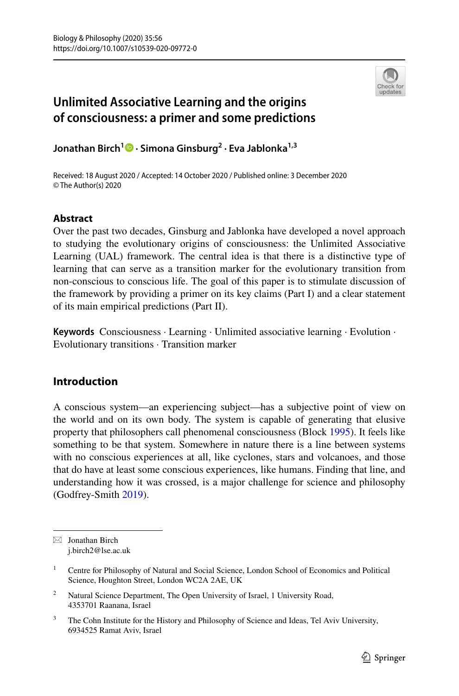

# **Unlimited Associative Learning and the origins of consciousness: a primer and some predictions**

**Jonathan Birch<sup>1</sup>  [·](http://orcid.org/0000-0001-7517-4759) Simona Ginsburg<sup>2</sup> · Eva Jablonka1,3**

Received: 18 August 2020 / Accepted: 14 October 2020 / Published online: 3 December 2020 © The Author(s) 2020

# **Abstract**

Over the past two decades, Ginsburg and Jablonka have developed a novel approach to studying the evolutionary origins of consciousness: the Unlimited Associative Learning (UAL) framework. The central idea is that there is a distinctive type of learning that can serve as a transition marker for the evolutionary transition from non-conscious to conscious life. The goal of this paper is to stimulate discussion of the framework by providing a primer on its key claims (Part I) and a clear statement of its main empirical predictions (Part II).

**Keywords** Consciousness · Learning · Unlimited associative learning · Evolution · Evolutionary transitions · Transition marker

# **Introduction**

A conscious system—an experiencing subject—has a subjective point of view on the world and on its own body. The system is capable of generating that elusive property that philosophers call phenomenal consciousness (Block [1995\)](#page-19-0). It feels like something to be that system. Somewhere in nature there is a line between systems with no conscious experiences at all, like cyclones, stars and volcanoes, and those that do have at least some conscious experiences, like humans. Finding that line, and understanding how it was crossed, is a major challenge for science and philosophy (Godfrey-Smith [2019](#page-20-0)).

 $\boxtimes$  Jonathan Birch j.birch2@lse.ac.uk

<sup>&</sup>lt;sup>1</sup> Centre for Philosophy of Natural and Social Science, London School of Economics and Political Science, Houghton Street, London WC2A 2AE, UK

<sup>2</sup> Natural Science Department, The Open University of Israel, 1 University Road, 4353701 Raanana, Israel

<sup>&</sup>lt;sup>3</sup> The Cohn Institute for the History and Philosophy of Science and Ideas, Tel Aviv University, 6934525 Ramat Aviv, Israel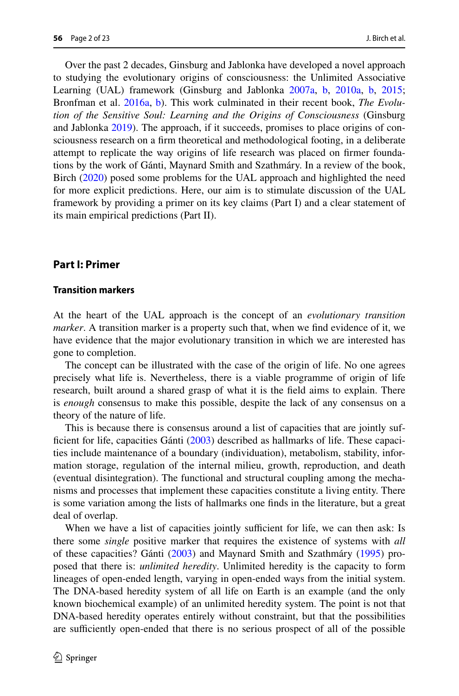Over the past 2 decades, Ginsburg and Jablonka have developed a novel approach to studying the evolutionary origins of consciousness: the Unlimited Associative Learning (UAL) framework (Ginsburg and Jablonka [2007a,](#page-20-1) [b,](#page-20-2) [2010a,](#page-20-3) [b](#page-20-4), [2015;](#page-20-5) Bronfman et al. [2016a](#page-20-6), [b](#page-20-7)). This work culminated in their recent book, *The Evolution of the Sensitive Soul: Learning and the Origins of Consciousness* (Ginsburg and Jablonka [2019\)](#page-20-8). The approach, if it succeeds, promises to place origins of consciousness research on a frm theoretical and methodological footing, in a deliberate attempt to replicate the way origins of life research was placed on frmer foundations by the work of Gánti, Maynard Smith and Szathmáry. In a review of the book, Birch [\(2020](#page-19-1)) posed some problems for the UAL approach and highlighted the need for more explicit predictions. Here, our aim is to stimulate discussion of the UAL framework by providing a primer on its key claims (Part I) and a clear statement of its main empirical predictions (Part II).

### **Part I: Primer**

#### **Transition markers**

At the heart of the UAL approach is the concept of an *evolutionary transition marker*. A transition marker is a property such that, when we fnd evidence of it, we have evidence that the major evolutionary transition in which we are interested has gone to completion.

The concept can be illustrated with the case of the origin of life. No one agrees precisely what life is. Nevertheless, there is a viable programme of origin of life research, built around a shared grasp of what it is the feld aims to explain. There is *enough* consensus to make this possible, despite the lack of any consensus on a theory of the nature of life.

This is because there is consensus around a list of capacities that are jointly suffcient for life, capacities Gánti [\(2003](#page-20-9)) described as hallmarks of life. These capacities include maintenance of a boundary (individuation), metabolism, stability, information storage, regulation of the internal milieu, growth, reproduction, and death (eventual disintegration). The functional and structural coupling among the mechanisms and processes that implement these capacities constitute a living entity. There is some variation among the lists of hallmarks one fnds in the literature, but a great deal of overlap.

When we have a list of capacities jointly sufficient for life, we can then ask: Is there some *single* positive marker that requires the existence of systems with *all* of these capacities? Gánti [\(2003](#page-20-9)) and Maynard Smith and Szathmáry ([1995\)](#page-21-0) proposed that there is: *unlimited heredity*. Unlimited heredity is the capacity to form lineages of open-ended length, varying in open-ended ways from the initial system. The DNA-based heredity system of all life on Earth is an example (and the only known biochemical example) of an unlimited heredity system. The point is not that DNA-based heredity operates entirely without constraint, but that the possibilities are sufficiently open-ended that there is no serious prospect of all of the possible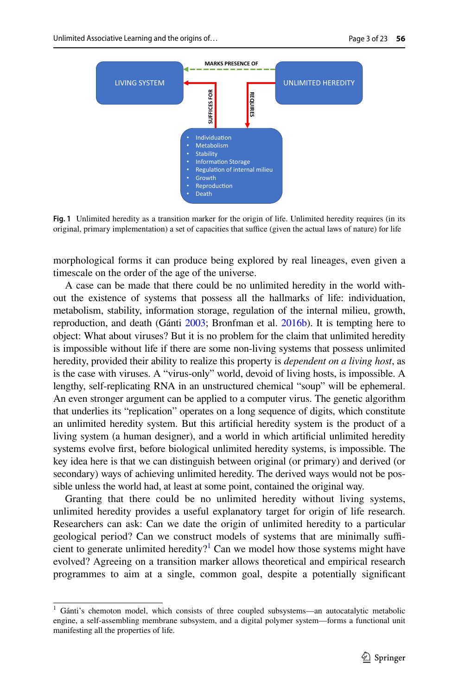

<span id="page-2-1"></span>**Fig. 1** Unlimited heredity as a transition marker for the origin of life. Unlimited heredity requires (in its original, primary implementation) a set of capacities that suffice (given the actual laws of nature) for life

morphological forms it can produce being explored by real lineages, even given a timescale on the order of the age of the universe.

A case can be made that there could be no unlimited heredity in the world without the existence of systems that possess all the hallmarks of life: individuation, metabolism, stability, information storage, regulation of the internal milieu, growth, reproduction, and death (Gánti [2003;](#page-20-9) Bronfman et al. [2016b\)](#page-20-7). It is tempting here to object: What about viruses? But it is no problem for the claim that unlimited heredity is impossible without life if there are some non-living systems that possess unlimited heredity, provided their ability to realize this property is *dependent on a living host*, as is the case with viruses. A "virus-only" world, devoid of living hosts, is impossible. A lengthy, self-replicating RNA in an unstructured chemical "soup" will be ephemeral. An even stronger argument can be applied to a computer virus. The genetic algorithm that underlies its "replication" operates on a long sequence of digits, which constitute an unlimited heredity system. But this artifcial heredity system is the product of a living system (a human designer), and a world in which artifcial unlimited heredity systems evolve frst, before biological unlimited heredity systems, is impossible. The key idea here is that we can distinguish between original (or primary) and derived (or secondary) ways of achieving unlimited heredity. The derived ways would not be possible unless the world had, at least at some point, contained the original way.

Granting that there could be no unlimited heredity without living systems, unlimited heredity provides a useful explanatory target for origin of life research. Researchers can ask: Can we date the origin of unlimited heredity to a particular geological period? Can we construct models of systems that are minimally suffi-cient to generate unlimited heredity?<sup>[1](#page-2-0)</sup> Can we model how those systems might have evolved? Agreeing on a transition marker allows theoretical and empirical research programmes to aim at a single, common goal, despite a potentially signifcant

<span id="page-2-0"></span><sup>1</sup> Gánti's chemoton model, which consists of three coupled subsystems—an autocatalytic metabolic engine, a self-assembling membrane subsystem, and a digital polymer system—forms a functional unit manifesting all the properties of life.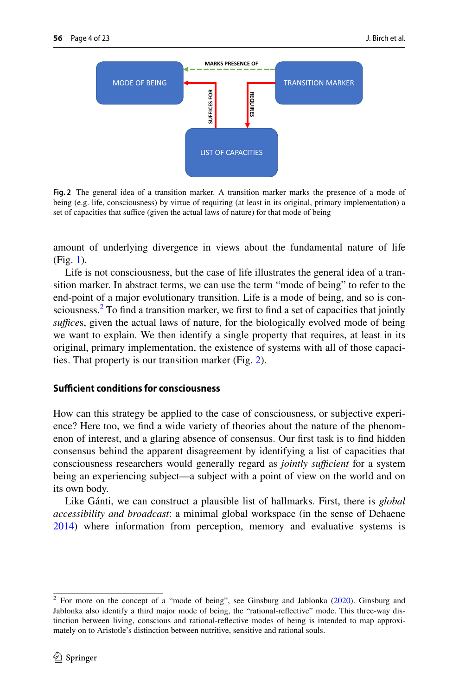

<span id="page-3-1"></span>**Fig. 2** The general idea of a transition marker. A transition marker marks the presence of a mode of being (e.g. life, consciousness) by virtue of requiring (at least in its original, primary implementation) a set of capacities that suffice (given the actual laws of nature) for that mode of being

amount of underlying divergence in views about the fundamental nature of life (Fig. [1\)](#page-2-1).

Life is not consciousness, but the case of life illustrates the general idea of a transition marker. In abstract terms, we can use the term "mode of being" to refer to the end-point of a major evolutionary transition. Life is a mode of being, and so is con-sciousness.<sup>[2](#page-3-0)</sup> To find a transition marker, we first to find a set of capacities that jointly suffices, given the actual laws of nature, for the biologically evolved mode of being we want to explain. We then identify a single property that requires, at least in its original, primary implementation, the existence of systems with all of those capacities. That property is our transition marker (Fig. [2\)](#page-3-1).

#### **Sufficient conditions for consciousness**

How can this strategy be applied to the case of consciousness, or subjective experience? Here too, we fnd a wide variety of theories about the nature of the phenomenon of interest, and a glaring absence of consensus. Our frst task is to fnd hidden consensus behind the apparent disagreement by identifying a list of capacities that consciousness researchers would generally regard as *jointly sufcient* for a system being an experiencing subject—a subject with a point of view on the world and on its own body.

Like Gánti, we can construct a plausible list of hallmarks. First, there is *global accessibility and broadcast*: a minimal global workspace (in the sense of Dehaene [2014](#page-20-10)) where information from perception, memory and evaluative systems is

<span id="page-3-0"></span><sup>2</sup> For more on the concept of a "mode of being", see Ginsburg and Jablonka ([2020\)](#page-20-11). Ginsburg and Jablonka also identify a third major mode of being, the "rational-refective" mode. This three-way distinction between living, conscious and rational-refective modes of being is intended to map approximately on to Aristotle's distinction between nutritive, sensitive and rational souls.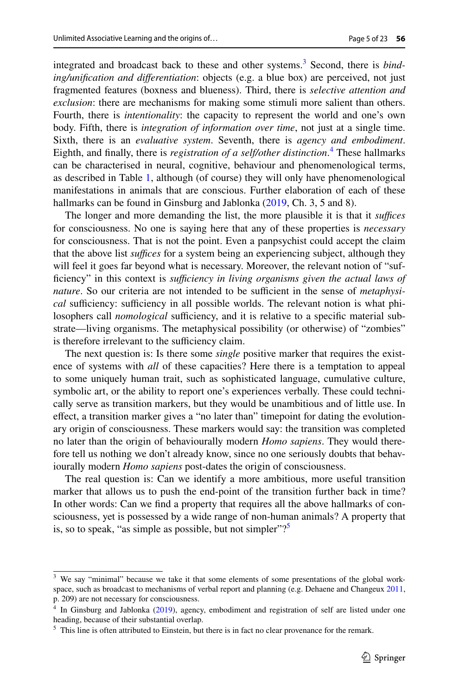integrated and broadcast back to these and other systems.<sup>[3](#page-4-0)</sup> Second, there is *binding/unifcation and diferentiation*: objects (e.g. a blue box) are perceived, not just fragmented features (boxness and blueness). Third, there is *selective attention and exclusion*: there are mechanisms for making some stimuli more salient than others. Fourth, there is *intentionality*: the capacity to represent the world and one's own body. Fifth, there is *integration of information over time*, not just at a single time. Sixth, there is an *evaluative system*. Seventh, there is *agency and embodiment*. Eighth, and fnally, there is *registration of a self/other distinction*. [4](#page-4-1) These hallmarks can be characterised in neural, cognitive, behaviour and phenomenological terms, as described in Table [1](#page-5-0), although (of course) they will only have phenomenological manifestations in animals that are conscious. Further elaboration of each of these hallmarks can be found in Ginsburg and Jablonka ([2019,](#page-20-8) Ch. 3, 5 and 8).

The longer and more demanding the list, the more plausible it is that it *suffices* for consciousness. No one is saying here that any of these properties is *necessary* for consciousness. That is not the point. Even a panpsychist could accept the claim that the above list *suffices* for a system being an experiencing subject, although they will feel it goes far beyond what is necessary. Moreover, the relevant notion of "sufficiency" in this context is *sufficiency in living organisms given the actual laws of nature*. So our criteria are not intended to be sufficient in the sense of *metaphysical* sufficiency: sufficiency in all possible worlds. The relevant notion is what philosophers call *nomological* sufficiency, and it is relative to a specific material substrate—living organisms. The metaphysical possibility (or otherwise) of "zombies" is therefore irrelevant to the sufficiency claim.

The next question is: Is there some *single* positive marker that requires the existence of systems with *all* of these capacities? Here there is a temptation to appeal to some uniquely human trait, such as sophisticated language, cumulative culture, symbolic art, or the ability to report one's experiences verbally. These could technically serve as transition markers, but they would be unambitious and of little use. In efect, a transition marker gives a "no later than" timepoint for dating the evolutionary origin of consciousness. These markers would say: the transition was completed no later than the origin of behaviourally modern *Homo sapiens*. They would therefore tell us nothing we don't already know, since no one seriously doubts that behaviourally modern *Homo sapiens* post-dates the origin of consciousness.

The real question is: Can we identify a more ambitious, more useful transition marker that allows us to push the end-point of the transition further back in time? In other words: Can we fnd a property that requires all the above hallmarks of consciousness, yet is possessed by a wide range of non-human animals? A property that is, so to speak, "as simple as possible, but not simpler" $?5$  $?5$ 

<span id="page-4-0"></span><sup>&</sup>lt;sup>3</sup> We say "minimal" because we take it that some elements of some presentations of the global workspace, such as broadcast to mechanisms of verbal report and planning (e.g. Dehaene and Changeux [2011](#page-20-12), p. 209) are not necessary for consciousness.

<span id="page-4-1"></span> $4$  In Ginsburg and Jablonka [\(2019](#page-20-8)), agency, embodiment and registration of self are listed under one heading, because of their substantial overlap.

<span id="page-4-2"></span><sup>&</sup>lt;sup>5</sup> This line is often attributed to Einstein, but there is in fact no clear provenance for the remark.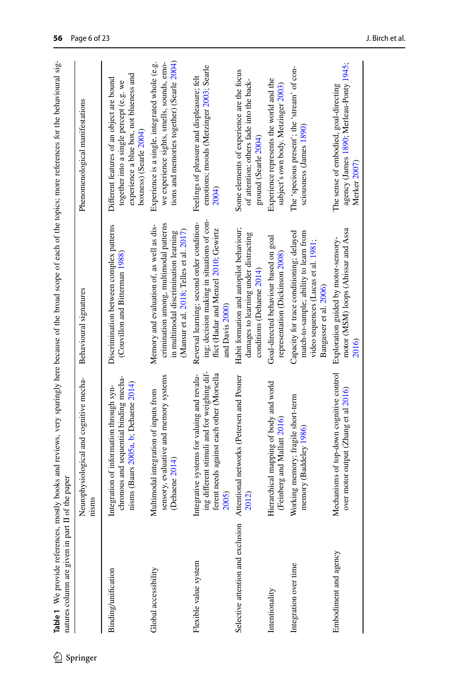<span id="page-5-0"></span>

| Table 1 We provide references,<br>natures column are given in part | $\Box$ of the paper                                                                                                                             |                                                                                                                                                                          | mostly books and reviews, very sparingly here because of the broad scope of each of the topics; more references for the behavioural sig-                  |
|--------------------------------------------------------------------|-------------------------------------------------------------------------------------------------------------------------------------------------|--------------------------------------------------------------------------------------------------------------------------------------------------------------------------|-----------------------------------------------------------------------------------------------------------------------------------------------------------|
|                                                                    | Neurophysiological and cognitive mecha-<br>nusms                                                                                                | Behavioural signatures                                                                                                                                                   | Phenomenological manifestations                                                                                                                           |
| Binding/unification                                                | chronous and sequential binding mecha-<br>nisms (Baars 2005a, b; Dehaene 2014)<br>Integration of information through syn-                       | Discrimination between complex patterns<br>(Couvillon and Bitterman 1988)                                                                                                | experience a blue box, not blueness and<br>Different features of an object are bound<br>together into a single percept (e.g. we<br>boxness) (Searle 2004) |
| Global accessibility                                               | sensory, evaluative and memory systems<br>Multimodal integration of inputs from<br>(Dehaene 2014)                                               | crimination among, multimodal patterns<br>Memory and evaluation of, as well as dis-<br>(Mansur et al. 2018; Telles et al. 2017)<br>in multimodal discrimination learning | tions and memories together) (Searle 2004)<br>we experience sights, smells, sounds, emo-<br>Experience is a single, integrated whole (e.g.                |
| Flexible value system                                              | ing different stimuli and for weighing dif-<br>Integrative systems for valuing and revalu-<br>ferent needs against each other (Morsella<br>2005 | ing; decision making in situations of con-<br>Reversal learning; second order condition-<br>flict (Hadar and Menzel 2010; Gewirtz<br>and Davis 2000)                     | emotions; moods (Metzinger 2003; Searle<br>Feelings of pleasure and displeasure; felt<br>2004)                                                            |
| Selective attention and exclusion                                  | Attentional networks (Petersen and Posner<br>2012)                                                                                              | Habit formation and autopilot behaviour;<br>damages to learning under distracting<br>conditions (Dehaene 2014)                                                           | Some elements of experience are the focus<br>of attention; others fade into the back-<br>ground (Searle 2004)                                             |
| Intentionality                                                     | Hierarchical mapping of body and world<br>(Feinberg and Mallatt 2016)                                                                           | Goal-directed behaviour based on goal<br>representation (Dickinson 2008)                                                                                                 | Experience represents the world and the<br>subject's own body. Metzinger 2003)                                                                            |
| Integration over time                                              | Working memory; fragile short-term<br>memory (Baddeley 1986)                                                                                    | Capacity for trace conditioning; delayed<br>match-to-sample; ability to learn from<br>video sequences (Lucas et al. 1981,<br>Bangasser et al. 2006)                      | The 'specious present'; the 'stream' of con-<br>sciousness (James 1890)                                                                                   |
| Embodiment and agency                                              | Mechanisms of top-down cognitive control<br>over motor output (Zhang et al 2016)                                                                | motor (MSM) loops (Ahissar and Assa<br>Exploration guided by motor-sensory-                                                                                              | agency (James 1890; Merleau-Ponty 1945;<br>The sense of embodied, goal-directing<br>Merker 2007)                                                          |
|                                                                    |                                                                                                                                                 |                                                                                                                                                                          |                                                                                                                                                           |

**56** Page 6 of 23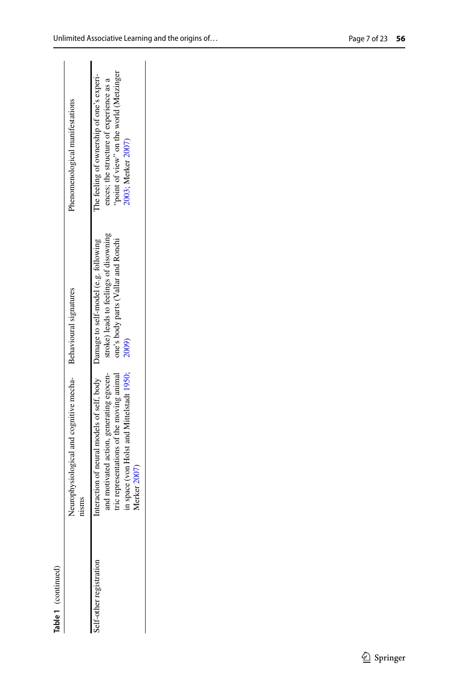| Table 1 (continued)    |                                                                                                                                                                                                                                       |                                                                                        |                                                                                                                                                      |
|------------------------|---------------------------------------------------------------------------------------------------------------------------------------------------------------------------------------------------------------------------------------|----------------------------------------------------------------------------------------|------------------------------------------------------------------------------------------------------------------------------------------------------|
|                        | Neurophysiological and cognitive mecha-<br>Behavioural signatures<br>nisms                                                                                                                                                            |                                                                                        | Phenomenological manifestations                                                                                                                      |
| elf-other registration | Interaction of neural models of self, body Damage to self-model (e.g. following<br>and motivated action, generating egocen-<br>tric representations of the moving animal<br>in space (von Holst and Mittelstadt 1950,<br>Merker 2007) | stroke) leads to feelings of disowning<br>one's body parts (Vallar and Ronchi<br>2009) | 'point of view" on the world (Metzinger<br>The feeling of ownership of one's experi-<br>ences; the structure of experience as a<br>003; Merker 2007) |
|                        |                                                                                                                                                                                                                                       |                                                                                        |                                                                                                                                                      |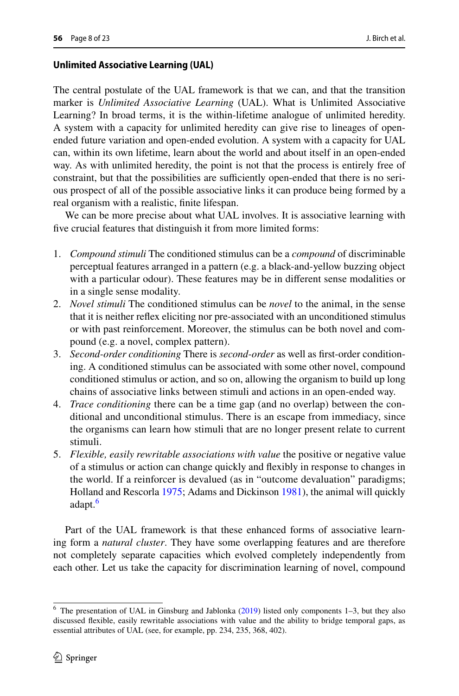#### **Unlimited Associative Learning (UAL)**

The central postulate of the UAL framework is that we can, and that the transition marker is *Unlimited Associative Learning* (UAL). What is Unlimited Associative Learning? In broad terms, it is the within-lifetime analogue of unlimited heredity. A system with a capacity for unlimited heredity can give rise to lineages of openended future variation and open-ended evolution. A system with a capacity for UAL can, within its own lifetime, learn about the world and about itself in an open-ended way. As with unlimited heredity, the point is not that the process is entirely free of constraint, but that the possibilities are sufficiently open-ended that there is no serious prospect of all of the possible associative links it can produce being formed by a real organism with a realistic, fnite lifespan.

We can be more precise about what UAL involves. It is associative learning with fve crucial features that distinguish it from more limited forms:

- 1. *Compound stimuli* The conditioned stimulus can be a *compound* of discriminable perceptual features arranged in a pattern (e.g. a black-and-yellow buzzing object with a particular odour). These features may be in diferent sense modalities or in a single sense modality.
- 2. *Novel stimuli* The conditioned stimulus can be *novel* to the animal, in the sense that it is neither refex eliciting nor pre-associated with an unconditioned stimulus or with past reinforcement. Moreover, the stimulus can be both novel and compound (e.g. a novel, complex pattern).
- 3. *Second-order conditioning* There is *second-order* as well as frst-order conditioning. A conditioned stimulus can be associated with some other novel, compound conditioned stimulus or action, and so on, allowing the organism to build up long chains of associative links between stimuli and actions in an open-ended way.
- 4. *Trace conditioning* there can be a time gap (and no overlap) between the conditional and unconditional stimulus. There is an escape from immediacy, since the organisms can learn how stimuli that are no longer present relate to current stimuli.
- 5. *Flexible, easily rewritable associations with value* the positive or negative value of a stimulus or action can change quickly and fexibly in response to changes in the world. If a reinforcer is devalued (as in "outcome devaluation" paradigms; Holland and Rescorla [1975;](#page-21-10) Adams and Dickinson [1981](#page-19-7)), the animal will quickly adapt.<sup>[6](#page-7-0)</sup>

Part of the UAL framework is that these enhanced forms of associative learning form a *natural cluster*. They have some overlapping features and are therefore not completely separate capacities which evolved completely independently from each other. Let us take the capacity for discrimination learning of novel, compound

<span id="page-7-0"></span> $6$  The presentation of UAL in Ginsburg and Jablonka [\(2019](#page-20-8)) listed only components 1-3, but they also discussed fexible, easily rewritable associations with value and the ability to bridge temporal gaps, as essential attributes of UAL (see, for example, pp. 234, 235, 368, 402).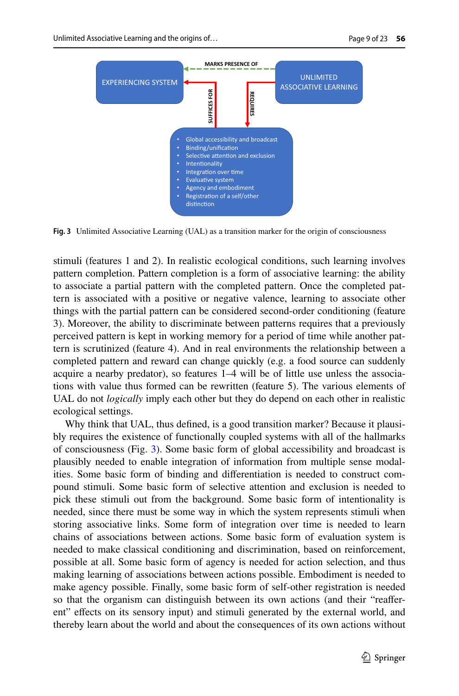

<span id="page-8-0"></span>**Fig. 3** Unlimited Associative Learning (UAL) as a transition marker for the origin of consciousness

stimuli (features 1 and 2). In realistic ecological conditions, such learning involves pattern completion. Pattern completion is a form of associative learning: the ability to associate a partial pattern with the completed pattern. Once the completed pattern is associated with a positive or negative valence, learning to associate other things with the partial pattern can be considered second-order conditioning (feature 3). Moreover, the ability to discriminate between patterns requires that a previously perceived pattern is kept in working memory for a period of time while another pattern is scrutinized (feature 4). And in real environments the relationship between a completed pattern and reward can change quickly (e.g. a food source can suddenly acquire a nearby predator), so features 1–4 will be of little use unless the associations with value thus formed can be rewritten (feature 5). The various elements of UAL do not *logically* imply each other but they do depend on each other in realistic ecological settings.

Why think that UAL, thus defned, is a good transition marker? Because it plausibly requires the existence of functionally coupled systems with all of the hallmarks of consciousness (Fig. [3\)](#page-8-0). Some basic form of global accessibility and broadcast is plausibly needed to enable integration of information from multiple sense modalities. Some basic form of binding and diferentiation is needed to construct compound stimuli. Some basic form of selective attention and exclusion is needed to pick these stimuli out from the background. Some basic form of intentionality is needed, since there must be some way in which the system represents stimuli when storing associative links. Some form of integration over time is needed to learn chains of associations between actions. Some basic form of evaluation system is needed to make classical conditioning and discrimination, based on reinforcement, possible at all. Some basic form of agency is needed for action selection, and thus making learning of associations between actions possible. Embodiment is needed to make agency possible. Finally, some basic form of self-other registration is needed so that the organism can distinguish between its own actions (and their "reaferent" efects on its sensory input) and stimuli generated by the external world, and thereby learn about the world and about the consequences of its own actions without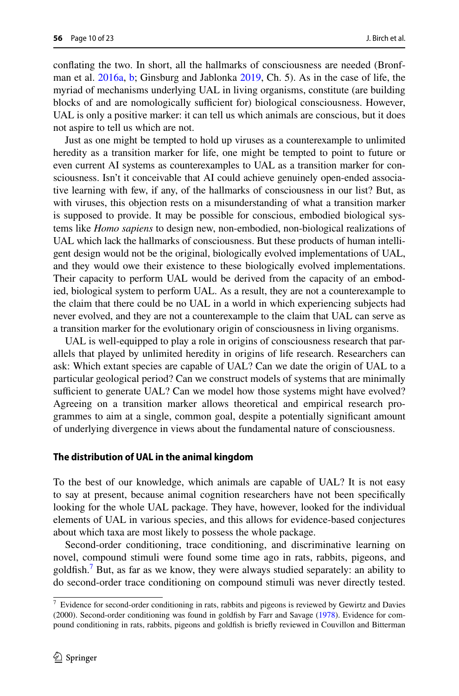confating the two. In short, all the hallmarks of consciousness are needed (Bronfman et al. [2016a](#page-20-6), [b;](#page-20-7) Ginsburg and Jablonka [2019](#page-20-8), Ch. 5). As in the case of life, the myriad of mechanisms underlying UAL in living organisms, constitute (are building blocks of and are nomologically sufficient for) biological consciousness. However, UAL is only a positive marker: it can tell us which animals are conscious, but it does not aspire to tell us which are not.

Just as one might be tempted to hold up viruses as a counterexample to unlimited heredity as a transition marker for life, one might be tempted to point to future or even current AI systems as counterexamples to UAL as a transition marker for consciousness. Isn't it conceivable that AI could achieve genuinely open-ended associative learning with few, if any, of the hallmarks of consciousness in our list? But, as with viruses, this objection rests on a misunderstanding of what a transition marker is supposed to provide. It may be possible for conscious, embodied biological systems like *Homo sapiens* to design new, non-embodied, non-biological realizations of UAL which lack the hallmarks of consciousness. But these products of human intelligent design would not be the original, biologically evolved implementations of UAL, and they would owe their existence to these biologically evolved implementations. Their capacity to perform UAL would be derived from the capacity of an embodied, biological system to perform UAL. As a result, they are not a counterexample to the claim that there could be no UAL in a world in which experiencing subjects had never evolved, and they are not a counterexample to the claim that UAL can serve as a transition marker for the evolutionary origin of consciousness in living organisms.

UAL is well-equipped to play a role in origins of consciousness research that parallels that played by unlimited heredity in origins of life research. Researchers can ask: Which extant species are capable of UAL? Can we date the origin of UAL to a particular geological period? Can we construct models of systems that are minimally sufficient to generate UAL? Can we model how those systems might have evolved? Agreeing on a transition marker allows theoretical and empirical research programmes to aim at a single, common goal, despite a potentially signifcant amount of underlying divergence in views about the fundamental nature of consciousness.

#### **The distribution of UAL in the animal kingdom**

To the best of our knowledge, which animals are capable of UAL? It is not easy to say at present, because animal cognition researchers have not been specifcally looking for the whole UAL package. They have, however, looked for the individual elements of UAL in various species, and this allows for evidence-based conjectures about which taxa are most likely to possess the whole package.

Second-order conditioning, trace conditioning, and discriminative learning on novel, compound stimuli were found some time ago in rats, rabbits, pigeons, and goldfsh.[7](#page-9-0) But, as far as we know, they were always studied separately: an ability to do second-order trace conditioning on compound stimuli was never directly tested.

<span id="page-9-0"></span> $7$  Evidence for second-order conditioning in rats, rabbits and pigeons is reviewed by Gewirtz and Davies (2000). Second-order conditioning was found in goldfsh by Farr and Savage [\(1978](#page-20-18)). Evidence for compound conditioning in rats, rabbits, pigeons and goldfsh is briefy reviewed in Couvillon and Bitterman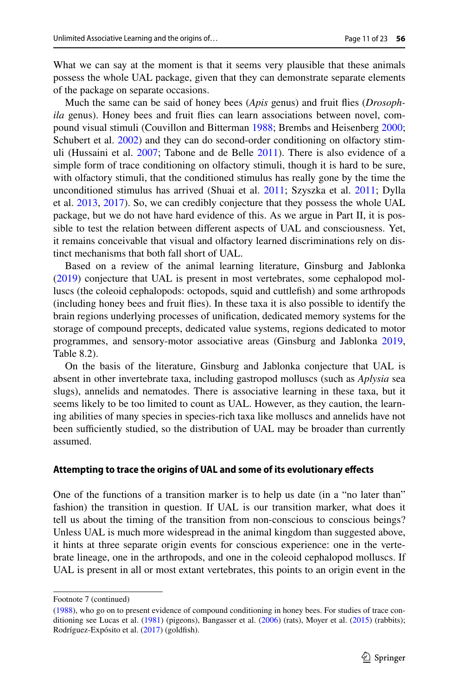What we can say at the moment is that it seems very plausible that these animals possess the whole UAL package, given that they can demonstrate separate elements of the package on separate occasions.

Much the same can be said of honey bees (*Apis* genus) and fruit fies (*Drosophila* genus). Honey bees and fruit fies can learn associations between novel, compound visual stimuli (Couvillon and Bitterman [1988](#page-20-13); Brembs and Heisenberg [2000;](#page-20-19) Schubert et al. [2002\)](#page-21-11) and they can do second-order conditioning on olfactory stimuli (Hussaini et al. [2007](#page-21-12); Tabone and de Belle [2011\)](#page-22-4). There is also evidence of a simple form of trace conditioning on olfactory stimuli, though it is hard to be sure, with olfactory stimuli, that the conditioned stimulus has really gone by the time the unconditioned stimulus has arrived (Shuai et al. [2011;](#page-21-13) Szyszka et al. [2011;](#page-22-5) Dylla et al. [2013,](#page-20-20) [2017](#page-20-21)). So, we can credibly conjecture that they possess the whole UAL package, but we do not have hard evidence of this. As we argue in Part II, it is possible to test the relation between diferent aspects of UAL and consciousness. Yet, it remains conceivable that visual and olfactory learned discriminations rely on distinct mechanisms that both fall short of UAL.

Based on a review of the animal learning literature, Ginsburg and Jablonka [\(2019](#page-20-8)) conjecture that UAL is present in most vertebrates, some cephalopod molluscs (the coleoid cephalopods: octopods, squid and cuttlefsh) and some arthropods (including honey bees and fruit fies). In these taxa it is also possible to identify the brain regions underlying processes of unifcation, dedicated memory systems for the storage of compound precepts, dedicated value systems, regions dedicated to motor programmes, and sensory-motor associative areas (Ginsburg and Jablonka [2019,](#page-20-8) Table 8.2).

On the basis of the literature, Ginsburg and Jablonka conjecture that UAL is absent in other invertebrate taxa, including gastropod molluscs (such as *Aplysia* sea slugs), annelids and nematodes. There is associative learning in these taxa, but it seems likely to be too limited to count as UAL. However, as they caution, the learning abilities of many species in species-rich taxa like molluscs and annelids have not been sufficiently studied, so the distribution of UAL may be broader than currently assumed.

### **Attempting to trace the origins of UAL and some of its evolutionary efects**

One of the functions of a transition marker is to help us date (in a "no later than" fashion) the transition in question. If UAL is our transition marker, what does it tell us about the timing of the transition from non-conscious to conscious beings? Unless UAL is much more widespread in the animal kingdom than suggested above, it hints at three separate origin events for conscious experience: one in the vertebrate lineage, one in the arthropods, and one in the coleoid cephalopod molluscs. If UAL is present in all or most extant vertebrates, this points to an origin event in the

Footnote 7 (continued)

<sup>(</sup>[1988\)](#page-20-13), who go on to present evidence of compound conditioning in honey bees. For studies of trace con-ditioning see Lucas et al. [\(1981](#page-21-6)) (pigeons), Bangasser et al. [\(2006](#page-19-5)) (rats), Moyer et al. ([2015\)](#page-21-14) (rabbits); Rodríguez-Expósito et al. [\(2017](#page-21-15)) (goldfish).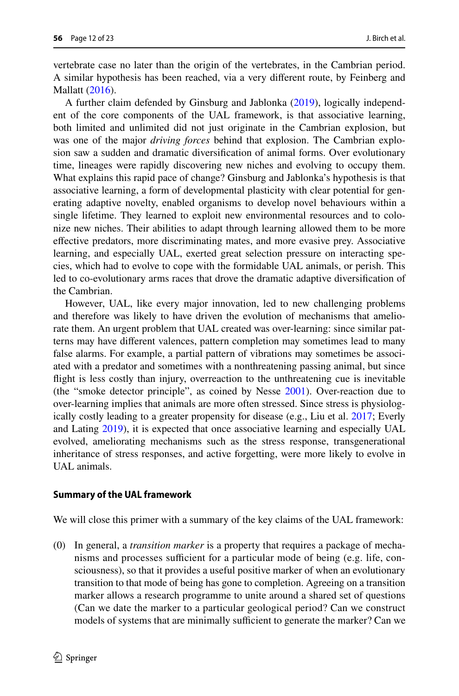vertebrate case no later than the origin of the vertebrates, in the Cambrian period. A similar hypothesis has been reached, via a very diferent route, by Feinberg and Mallatt ([2016\)](#page-20-16).

A further claim defended by Ginsburg and Jablonka [\(2019](#page-20-8)), logically independent of the core components of the UAL framework, is that associative learning, both limited and unlimited did not just originate in the Cambrian explosion, but was one of the major *driving forces* behind that explosion. The Cambrian explosion saw a sudden and dramatic diversifcation of animal forms. Over evolutionary time, lineages were rapidly discovering new niches and evolving to occupy them. What explains this rapid pace of change? Ginsburg and Jablonka's hypothesis is that associative learning, a form of developmental plasticity with clear potential for generating adaptive novelty, enabled organisms to develop novel behaviours within a single lifetime. They learned to exploit new environmental resources and to colonize new niches. Their abilities to adapt through learning allowed them to be more efective predators, more discriminating mates, and more evasive prey. Associative learning, and especially UAL, exerted great selection pressure on interacting species, which had to evolve to cope with the formidable UAL animals, or perish. This led to co-evolutionary arms races that drove the dramatic adaptive diversifcation of the Cambrian.

However, UAL, like every major innovation, led to new challenging problems and therefore was likely to have driven the evolution of mechanisms that ameliorate them. An urgent problem that UAL created was over-learning: since similar patterns may have diferent valences, pattern completion may sometimes lead to many false alarms. For example, a partial pattern of vibrations may sometimes be associated with a predator and sometimes with a nonthreatening passing animal, but since fight is less costly than injury, overreaction to the unthreatening cue is inevitable (the "smoke detector principle", as coined by Nesse [2001](#page-21-16)). Over-reaction due to over-learning implies that animals are more often stressed. Since stress is physiologically costly leading to a greater propensity for disease (e.g., Liu et al. [2017;](#page-21-17) Everly and Lating [2019\)](#page-20-22), it is expected that once associative learning and especially UAL evolved, ameliorating mechanisms such as the stress response, transgenerational inheritance of stress responses, and active forgetting, were more likely to evolve in UAL animals.

#### **Summary of the UAL framework**

We will close this primer with a summary of the key claims of the UAL framework:

(0) In general, a *transition marker* is a property that requires a package of mechanisms and processes sufficient for a particular mode of being (e.g. life, consciousness), so that it provides a useful positive marker of when an evolutionary transition to that mode of being has gone to completion. Agreeing on a transition marker allows a research programme to unite around a shared set of questions (Can we date the marker to a particular geological period? Can we construct models of systems that are minimally sufficient to generate the marker? Can we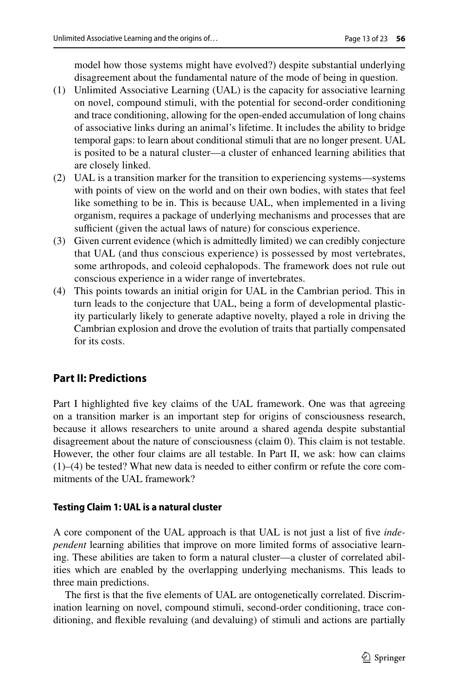model how those systems might have evolved?) despite substantial underlying disagreement about the fundamental nature of the mode of being in question.

- (1) Unlimited Associative Learning (UAL) is the capacity for associative learning on novel, compound stimuli, with the potential for second-order conditioning and trace conditioning, allowing for the open-ended accumulation of long chains of associative links during an animal's lifetime. It includes the ability to bridge temporal gaps: to learn about conditional stimuli that are no longer present. UAL is posited to be a natural cluster—a cluster of enhanced learning abilities that are closely linked.
- (2) UAL is a transition marker for the transition to experiencing systems—systems with points of view on the world and on their own bodies, with states that feel like something to be in. This is because UAL, when implemented in a living organism, requires a package of underlying mechanisms and processes that are sufficient (given the actual laws of nature) for conscious experience.
- (3) Given current evidence (which is admittedly limited) we can credibly conjecture that UAL (and thus conscious experience) is possessed by most vertebrates, some arthropods, and coleoid cephalopods. The framework does not rule out conscious experience in a wider range of invertebrates.
- (4) This points towards an initial origin for UAL in the Cambrian period. This in turn leads to the conjecture that UAL, being a form of developmental plasticity particularly likely to generate adaptive novelty, played a role in driving the Cambrian explosion and drove the evolution of traits that partially compensated for its costs.

# **Part II: Predictions**

Part I highlighted fve key claims of the UAL framework. One was that agreeing on a transition marker is an important step for origins of consciousness research, because it allows researchers to unite around a shared agenda despite substantial disagreement about the nature of consciousness (claim 0). This claim is not testable. However, the other four claims are all testable. In Part II, we ask: how can claims (1)–(4) be tested? What new data is needed to either confrm or refute the core commitments of the UAL framework?

# **Testing Claim 1: UAL is a natural cluster**

A core component of the UAL approach is that UAL is not just a list of fve *independent* learning abilities that improve on more limited forms of associative learning. These abilities are taken to form a natural cluster—a cluster of correlated abilities which are enabled by the overlapping underlying mechanisms. This leads to three main predictions.

The frst is that the fve elements of UAL are ontogenetically correlated. Discrimination learning on novel, compound stimuli, second-order conditioning, trace conditioning, and fexible revaluing (and devaluing) of stimuli and actions are partially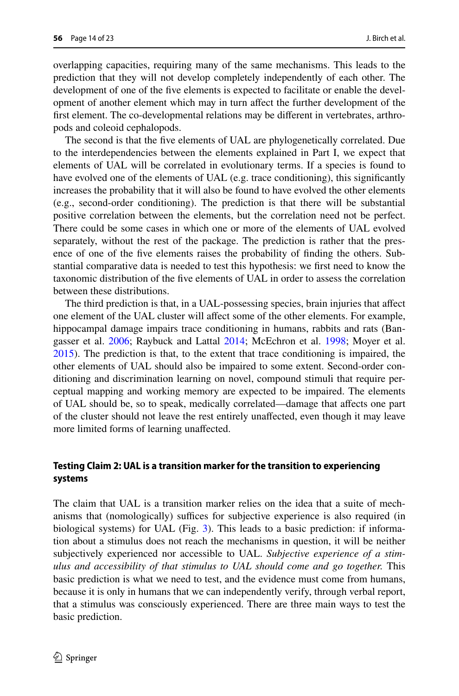overlapping capacities, requiring many of the same mechanisms. This leads to the prediction that they will not develop completely independently of each other. The development of one of the fve elements is expected to facilitate or enable the development of another element which may in turn afect the further development of the frst element. The co-developmental relations may be diferent in vertebrates, arthropods and coleoid cephalopods.

The second is that the fve elements of UAL are phylogenetically correlated. Due to the interdependencies between the elements explained in Part I, we expect that elements of UAL will be correlated in evolutionary terms. If a species is found to have evolved one of the elements of UAL (e.g. trace conditioning), this significantly increases the probability that it will also be found to have evolved the other elements (e.g., second-order conditioning). The prediction is that there will be substantial positive correlation between the elements, but the correlation need not be perfect. There could be some cases in which one or more of the elements of UAL evolved separately, without the rest of the package. The prediction is rather that the presence of one of the fve elements raises the probability of fnding the others. Substantial comparative data is needed to test this hypothesis: we frst need to know the taxonomic distribution of the fve elements of UAL in order to assess the correlation between these distributions.

The third prediction is that, in a UAL-possessing species, brain injuries that afect one element of the UAL cluster will afect some of the other elements. For example, hippocampal damage impairs trace conditioning in humans, rabbits and rats (Bangasser et al. [2006;](#page-19-5) Raybuck and Lattal [2014;](#page-21-18) McEchron et al. [1998](#page-21-19); Moyer et al. [2015](#page-21-14)). The prediction is that, to the extent that trace conditioning is impaired, the other elements of UAL should also be impaired to some extent. Second-order conditioning and discrimination learning on novel, compound stimuli that require perceptual mapping and working memory are expected to be impaired. The elements of UAL should be, so to speak, medically correlated—damage that afects one part of the cluster should not leave the rest entirely unafected, even though it may leave more limited forms of learning unafected.

# **Testing Claim 2: UAL is a transition marker for the transition to experiencing systems**

The claim that UAL is a transition marker relies on the idea that a suite of mechanisms that (nomologically) suffices for subjective experience is also required (in biological systems) for UAL (Fig. [3\)](#page-8-0). This leads to a basic prediction: if information about a stimulus does not reach the mechanisms in question, it will be neither subjectively experienced nor accessible to UAL. *Subjective experience of a stimulus and accessibility of that stimulus to UAL should come and go together.* This basic prediction is what we need to test, and the evidence must come from humans, because it is only in humans that we can independently verify, through verbal report, that a stimulus was consciously experienced. There are three main ways to test the basic prediction.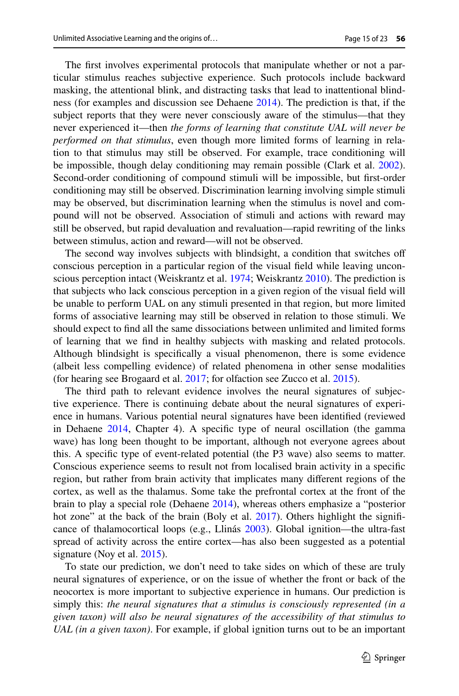The frst involves experimental protocols that manipulate whether or not a particular stimulus reaches subjective experience. Such protocols include backward masking, the attentional blink, and distracting tasks that lead to inattentional blindness (for examples and discussion see Dehaene [2014\)](#page-20-10). The prediction is that, if the subject reports that they were never consciously aware of the stimulus—that they never experienced it—then *the forms of learning that constitute UAL will never be performed on that stimulus*, even though more limited forms of learning in relation to that stimulus may still be observed. For example, trace conditioning will be impossible, though delay conditioning may remain possible (Clark et al. [2002\)](#page-20-23). Second-order conditioning of compound stimuli will be impossible, but frst-order conditioning may still be observed. Discrimination learning involving simple stimuli may be observed, but discrimination learning when the stimulus is novel and compound will not be observed. Association of stimuli and actions with reward may still be observed, but rapid devaluation and revaluation—rapid rewriting of the links between stimulus, action and reward—will not be observed.

The second way involves subjects with blindsight, a condition that switches of conscious perception in a particular region of the visual feld while leaving unconscious perception intact (Weiskrantz et al. [1974](#page-22-6); Weiskrantz [2010\)](#page-22-7). The prediction is that subjects who lack conscious perception in a given region of the visual feld will be unable to perform UAL on any stimuli presented in that region, but more limited forms of associative learning may still be observed in relation to those stimuli. We should expect to fnd all the same dissociations between unlimited and limited forms of learning that we fnd in healthy subjects with masking and related protocols. Although blindsight is specifcally a visual phenomenon, there is some evidence (albeit less compelling evidence) of related phenomena in other sense modalities (for hearing see Brogaard et al. [2017;](#page-20-24) for olfaction see Zucco et al. [2015](#page-22-8)).

The third path to relevant evidence involves the neural signatures of subjective experience. There is continuing debate about the neural signatures of experience in humans. Various potential neural signatures have been identifed (reviewed in Dehaene [2014,](#page-20-10) Chapter 4). A specifc type of neural oscillation (the gamma wave) has long been thought to be important, although not everyone agrees about this. A specifc type of event-related potential (the P3 wave) also seems to matter. Conscious experience seems to result not from localised brain activity in a specifc region, but rather from brain activity that implicates many diferent regions of the cortex, as well as the thalamus. Some take the prefrontal cortex at the front of the brain to play a special role (Dehaene [2014](#page-20-10)), whereas others emphasize a "posterior hot zone" at the back of the brain (Boly et al. [2017\)](#page-19-8). Others highlight the significance of thalamocortical loops (e.g., Llinás [2003\)](#page-21-20). Global ignition—the ultra-fast spread of activity across the entire cortex—has also been suggested as a potential signature (Noy et al. [2015\)](#page-21-21).

To state our prediction, we don't need to take sides on which of these are truly neural signatures of experience, or on the issue of whether the front or back of the neocortex is more important to subjective experience in humans. Our prediction is simply this: *the neural signatures that a stimulus is consciously represented (in a given taxon) will also be neural signatures of the accessibility of that stimulus to UAL (in a given taxon)*. For example, if global ignition turns out to be an important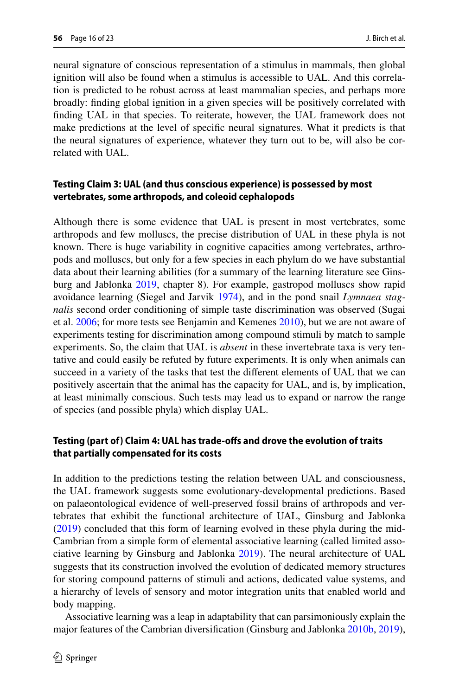neural signature of conscious representation of a stimulus in mammals, then global ignition will also be found when a stimulus is accessible to UAL. And this correlation is predicted to be robust across at least mammalian species, and perhaps more broadly: fnding global ignition in a given species will be positively correlated with fnding UAL in that species. To reiterate, however, the UAL framework does not make predictions at the level of specifc neural signatures. What it predicts is that the neural signatures of experience, whatever they turn out to be, will also be correlated with UAL.

# **Testing Claim 3: UAL (and thus conscious experience) is possessed by most vertebrates, some arthropods, and coleoid cephalopods**

Although there is some evidence that UAL is present in most vertebrates, some arthropods and few molluscs, the precise distribution of UAL in these phyla is not known. There is huge variability in cognitive capacities among vertebrates, arthropods and molluscs, but only for a few species in each phylum do we have substantial data about their learning abilities (for a summary of the learning literature see Ginsburg and Jablonka [2019](#page-20-8), chapter 8). For example, gastropod molluscs show rapid avoidance learning (Siegel and Jarvik [1974](#page-21-22)), and in the pond snail *Lymnaea stagnalis* second order conditioning of simple taste discrimination was observed (Sugai et al. [2006;](#page-21-23) for more tests see Benjamin and Kemenes [2010](#page-19-9)), but we are not aware of experiments testing for discrimination among compound stimuli by match to sample experiments. So, the claim that UAL is *absent* in these invertebrate taxa is very tentative and could easily be refuted by future experiments. It is only when animals can succeed in a variety of the tasks that test the diferent elements of UAL that we can positively ascertain that the animal has the capacity for UAL, and is, by implication, at least minimally conscious. Such tests may lead us to expand or narrow the range of species (and possible phyla) which display UAL.

# **Testing (part of) Claim 4: UAL has trade‑ofs and drove the evolution of traits that partially compensated for its costs**

In addition to the predictions testing the relation between UAL and consciousness, the UAL framework suggests some evolutionary-developmental predictions. Based on palaeontological evidence of well-preserved fossil brains of arthropods and vertebrates that exhibit the functional architecture of UAL, Ginsburg and Jablonka [\(2019](#page-20-8)) concluded that this form of learning evolved in these phyla during the mid-Cambrian from a simple form of elemental associative learning (called limited associative learning by Ginsburg and Jablonka [2019\)](#page-20-8). The neural architecture of UAL suggests that its construction involved the evolution of dedicated memory structures for storing compound patterns of stimuli and actions, dedicated value systems, and a hierarchy of levels of sensory and motor integration units that enabled world and body mapping.

Associative learning was a leap in adaptability that can parsimoniously explain the major features of the Cambrian diversifcation (Ginsburg and Jablonka [2010b,](#page-20-4) [2019\)](#page-20-8),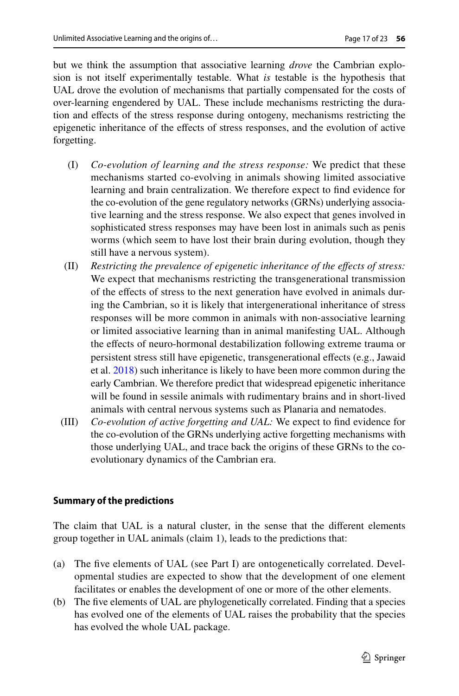but we think the assumption that associative learning *drove* the Cambrian explosion is not itself experimentally testable. What *is* testable is the hypothesis that UAL drove the evolution of mechanisms that partially compensated for the costs of over-learning engendered by UAL. These include mechanisms restricting the duration and efects of the stress response during ontogeny, mechanisms restricting the epigenetic inheritance of the efects of stress responses, and the evolution of active forgetting.

- (I) *Co-evolution of learning and the stress response:* We predict that these mechanisms started co-evolving in animals showing limited associative learning and brain centralization. We therefore expect to fnd evidence for the co-evolution of the gene regulatory networks (GRNs) underlying associative learning and the stress response. We also expect that genes involved in sophisticated stress responses may have been lost in animals such as penis worms (which seem to have lost their brain during evolution, though they still have a nervous system).
- (II) *Restricting the prevalence of epigenetic inheritance of the efects of stress:* We expect that mechanisms restricting the transgenerational transmission of the efects of stress to the next generation have evolved in animals during the Cambrian, so it is likely that intergenerational inheritance of stress responses will be more common in animals with non-associative learning or limited associative learning than in animal manifesting UAL. Although the efects of neuro-hormonal destabilization following extreme trauma or persistent stress still have epigenetic, transgenerational efects (e.g., Jawaid et al. [2018](#page-21-24)) such inheritance is likely to have been more common during the early Cambrian. We therefore predict that widespread epigenetic inheritance will be found in sessile animals with rudimentary brains and in short-lived animals with central nervous systems such as Planaria and nematodes.
- (III) *Co-evolution of active forgetting and UAL:* We expect to fnd evidence for the co-evolution of the GRNs underlying active forgetting mechanisms with those underlying UAL, and trace back the origins of these GRNs to the coevolutionary dynamics of the Cambrian era.

# **Summary of the predictions**

The claim that UAL is a natural cluster, in the sense that the diferent elements group together in UAL animals (claim 1), leads to the predictions that:

- (a) The fve elements of UAL (see Part I) are ontogenetically correlated. Developmental studies are expected to show that the development of one element facilitates or enables the development of one or more of the other elements.
- (b) The five elements of UAL are phylogenetically correlated. Finding that a species has evolved one of the elements of UAL raises the probability that the species has evolved the whole UAL package.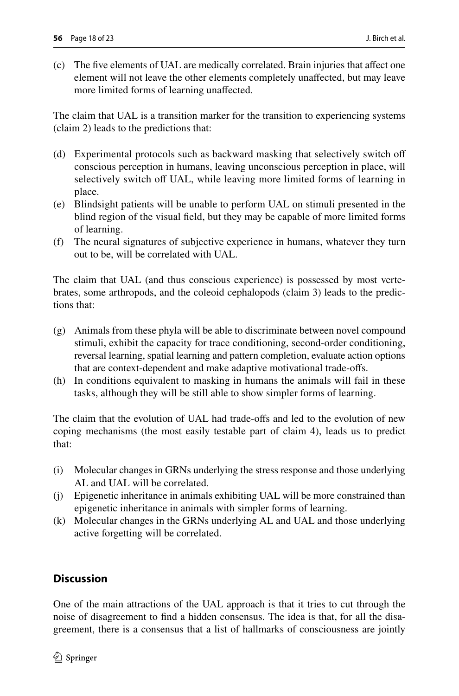(c) The fve elements of UAL are medically correlated. Brain injuries that afect one element will not leave the other elements completely unafected, but may leave more limited forms of learning unafected.

The claim that UAL is a transition marker for the transition to experiencing systems (claim 2) leads to the predictions that:

- (d) Experimental protocols such as backward masking that selectively switch of conscious perception in humans, leaving unconscious perception in place, will selectively switch off UAL, while leaving more limited forms of learning in place.
- (e) Blindsight patients will be unable to perform UAL on stimuli presented in the blind region of the visual feld, but they may be capable of more limited forms of learning.
- (f) The neural signatures of subjective experience in humans, whatever they turn out to be, will be correlated with UAL.

The claim that UAL (and thus conscious experience) is possessed by most vertebrates, some arthropods, and the coleoid cephalopods (claim 3) leads to the predictions that:

- (g) Animals from these phyla will be able to discriminate between novel compound stimuli, exhibit the capacity for trace conditioning, second-order conditioning, reversal learning, spatial learning and pattern completion, evaluate action options that are context-dependent and make adaptive motivational trade-ofs.
- (h) In conditions equivalent to masking in humans the animals will fail in these tasks, although they will be still able to show simpler forms of learning.

The claim that the evolution of UAL had trade-ofs and led to the evolution of new coping mechanisms (the most easily testable part of claim 4), leads us to predict that:

- (i) Molecular changes in GRNs underlying the stress response and those underlying AL and UAL will be correlated.
- (j) Epigenetic inheritance in animals exhibiting UAL will be more constrained than epigenetic inheritance in animals with simpler forms of learning.
- (k) Molecular changes in the GRNs underlying AL and UAL and those underlying active forgetting will be correlated.

# **Discussion**

One of the main attractions of the UAL approach is that it tries to cut through the noise of disagreement to fnd a hidden consensus. The idea is that, for all the disagreement, there is a consensus that a list of hallmarks of consciousness are jointly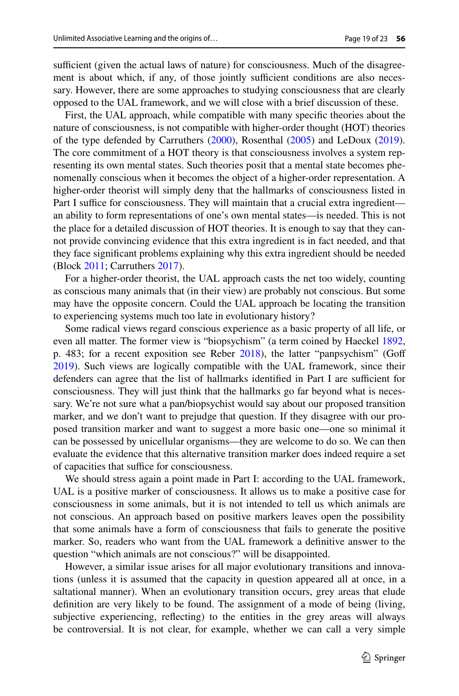sufficient (given the actual laws of nature) for consciousness. Much of the disagreement is about which, if any, of those jointly sufficient conditions are also necessary. However, there are some approaches to studying consciousness that are clearly opposed to the UAL framework, and we will close with a brief discussion of these.

First, the UAL approach, while compatible with many specifc theories about the nature of consciousness, is not compatible with higher-order thought (HOT) theories of the type defended by Carruthers [\(2000](#page-20-25)), Rosenthal [\(2005](#page-21-25)) and LeDoux ([2019\)](#page-21-26). The core commitment of a HOT theory is that consciousness involves a system representing its own mental states. Such theories posit that a mental state becomes phenomenally conscious when it becomes the object of a higher-order representation. A higher-order theorist will simply deny that the hallmarks of consciousness listed in Part I suffice for consciousness. They will maintain that a crucial extra ingredient an ability to form representations of one's own mental states—is needed. This is not the place for a detailed discussion of HOT theories. It is enough to say that they cannot provide convincing evidence that this extra ingredient is in fact needed, and that they face signifcant problems explaining why this extra ingredient should be needed (Block [2011;](#page-19-10) Carruthers [2017](#page-20-26)).

For a higher-order theorist, the UAL approach casts the net too widely, counting as conscious many animals that (in their view) are probably not conscious. But some may have the opposite concern. Could the UAL approach be locating the transition to experiencing systems much too late in evolutionary history?

Some radical views regard conscious experience as a basic property of all life, or even all matter. The former view is "biopsychism" (a term coined by Haeckel [1892,](#page-20-27) p. 483; for a recent exposition see Reber [2018\)](#page-21-27), the latter "panpsychism" (Gof [2019](#page-20-28)). Such views are logically compatible with the UAL framework, since their defenders can agree that the list of hallmarks identified in Part I are sufficient for consciousness. They will just think that the hallmarks go far beyond what is necessary. We're not sure what a pan/biopsychist would say about our proposed transition marker, and we don't want to prejudge that question. If they disagree with our proposed transition marker and want to suggest a more basic one—one so minimal it can be possessed by unicellular organisms—they are welcome to do so. We can then evaluate the evidence that this alternative transition marker does indeed require a set of capacities that suffice for consciousness.

We should stress again a point made in Part I: according to the UAL framework, UAL is a positive marker of consciousness. It allows us to make a positive case for consciousness in some animals, but it is not intended to tell us which animals are not conscious. An approach based on positive markers leaves open the possibility that some animals have a form of consciousness that fails to generate the positive marker. So, readers who want from the UAL framework a defnitive answer to the question "which animals are not conscious?" will be disappointed.

However, a similar issue arises for all major evolutionary transitions and innovations (unless it is assumed that the capacity in question appeared all at once, in a saltational manner). When an evolutionary transition occurs, grey areas that elude defnition are very likely to be found. The assignment of a mode of being (living, subjective experiencing, refecting) to the entities in the grey areas will always be controversial. It is not clear, for example, whether we can call a very simple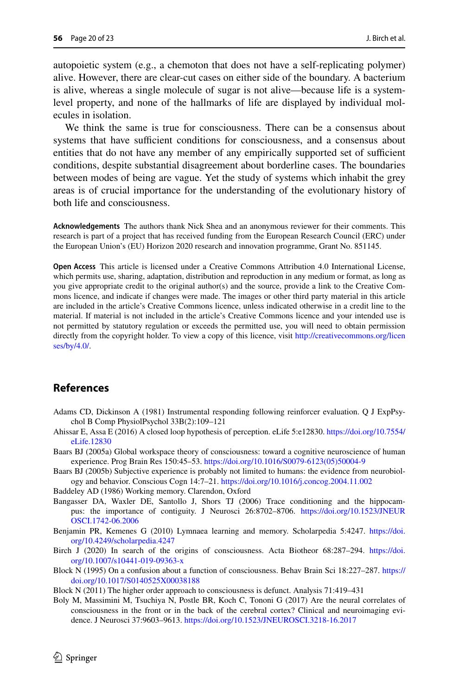autopoietic system (e.g., a chemoton that does not have a self-replicating polymer) alive. However, there are clear-cut cases on either side of the boundary. A bacterium is alive, whereas a single molecule of sugar is not alive—because life is a systemlevel property, and none of the hallmarks of life are displayed by individual molecules in isolation.

We think the same is true for consciousness. There can be a consensus about systems that have sufficient conditions for consciousness, and a consensus about entities that do not have any member of any empirically supported set of sufficient conditions, despite substantial disagreement about borderline cases. The boundaries between modes of being are vague. Yet the study of systems which inhabit the grey areas is of crucial importance for the understanding of the evolutionary history of both life and consciousness.

**Acknowledgements** The authors thank Nick Shea and an anonymous reviewer for their comments. This research is part of a project that has received funding from the European Research Council (ERC) under the European Union's (EU) Horizon 2020 research and innovation programme, Grant No. 851145.

**Open Access** This article is licensed under a Creative Commons Attribution 4.0 International License, which permits use, sharing, adaptation, distribution and reproduction in any medium or format, as long as you give appropriate credit to the original author(s) and the source, provide a link to the Creative Commons licence, and indicate if changes were made. The images or other third party material in this article are included in the article's Creative Commons licence, unless indicated otherwise in a credit line to the material. If material is not included in the article's Creative Commons licence and your intended use is not permitted by statutory regulation or exceeds the permitted use, you will need to obtain permission directly from the copyright holder. To view a copy of this licence, visit [http://creativecommons.org/licen](http://creativecommons.org/licenses/by/4.0/) [ses/by/4.0/](http://creativecommons.org/licenses/by/4.0/).

### **References**

- <span id="page-19-7"></span>Adams CD, Dickinson A (1981) Instrumental responding following reinforcer evaluation. Q J ExpPsychol B Comp PhysiolPsychol 33B(2):109–121
- <span id="page-19-6"></span>Ahissar E, Assa E (2016) A closed loop hypothesis of perception. eLife 5:e12830. [https://doi.org/10.7554/](https://doi.org/10.7554/eLife.12830) [eLife.12830](https://doi.org/10.7554/eLife.12830)
- <span id="page-19-2"></span>Baars BJ (2005a) Global workspace theory of consciousness: toward a cognitive neuroscience of human experience. Prog Brain Res 150:45–53. [https://doi.org/10.1016/S0079-6123\(05\)50004-9](https://doi.org/10.1016/S0079-6123(05)50004-9)
- <span id="page-19-3"></span>Baars BJ (2005b) Subjective experience is probably not limited to humans: the evidence from neurobiology and behavior. Conscious Cogn 14:7–21. <https://doi.org/10.1016/j.concog.2004.11.002>

<span id="page-19-4"></span>Baddeley AD (1986) Working memory. Clarendon, Oxford

- <span id="page-19-5"></span>Bangasser DA, Waxler DE, Santollo J, Shors TJ (2006) Trace conditioning and the hippocampus: the importance of contiguity. J Neurosci 26:8702–8706. [https://doi.org/10.1523/JNEUR](https://doi.org/10.1523/JNEUROSCI.1742-06.2006) [OSCI.1742-06.2006](https://doi.org/10.1523/JNEUROSCI.1742-06.2006)
- <span id="page-19-9"></span>Benjamin PR, Kemenes G (2010) Lymnaea learning and memory. Scholarpedia 5:4247. [https://doi.](https://doi.org/10.4249/scholarpedia.4247) [org/10.4249/scholarpedia.4247](https://doi.org/10.4249/scholarpedia.4247)
- <span id="page-19-1"></span>Birch J (2020) In search of the origins of consciousness. Acta Biotheor 68:287–294. [https://doi.](https://doi.org/10.1007/s10441-019-09363-x) [org/10.1007/s10441-019-09363-x](https://doi.org/10.1007/s10441-019-09363-x)
- <span id="page-19-0"></span>Block N (1995) On a confusion about a function of consciousness. Behav Brain Sci 18:227–287. [https://](https://doi.org/10.1017/S0140525X00038188) [doi.org/10.1017/S0140525X00038188](https://doi.org/10.1017/S0140525X00038188)

<span id="page-19-10"></span>Block N (2011) The higher order approach to consciousness is defunct. Analysis 71:419–431

<span id="page-19-8"></span>Boly M, Massimini M, Tsuchiya N, Postle BR, Koch C, Tononi G (2017) Are the neural correlates of consciousness in the front or in the back of the cerebral cortex? Clinical and neuroimaging evidence. J Neurosci 37:9603–9613. <https://doi.org/10.1523/JNEUROSCI.3218-16.2017>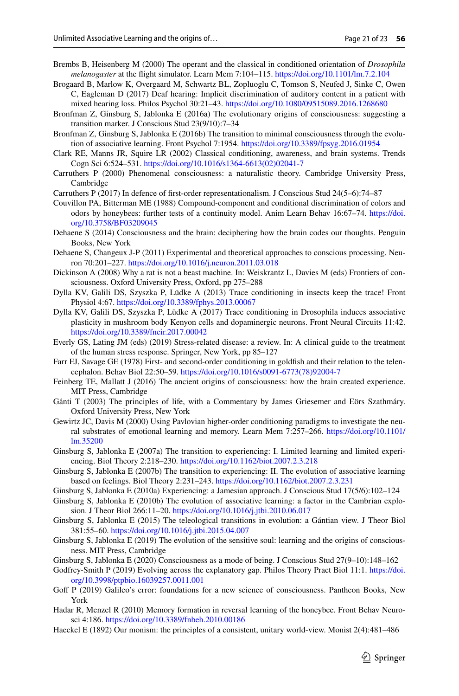- <span id="page-20-19"></span>Brembs B, Heisenberg M (2000) The operant and the classical in conditioned orientation of *Drosophila melanogaster* at the fight simulator. Learn Mem 7:104–115. <https://doi.org/10.1101/lm.7.2.104>
- <span id="page-20-24"></span>Brogaard B, Marlow K, Overgaard M, Schwartz BL, Zopluoglu C, Tomson S, Neufed J, Sinke C, Owen C, Eagleman D (2017) Deaf hearing: Implicit discrimination of auditory content in a patient with mixed hearing loss. Philos Psychol 30:21–43. <https://doi.org/10.1080/09515089.2016.1268680>
- <span id="page-20-6"></span>Bronfman Z, Ginsburg S, Jablonka E (2016a) The evolutionary origins of consciousness: suggesting a transition marker. J Conscious Stud 23(9/10):7–34
- <span id="page-20-7"></span>Bronfman Z, Ginsburg S, Jablonka E (2016b) The transition to minimal consciousness through the evolution of associative learning. Front Psychol 7:1954.<https://doi.org/10.3389/fpsyg.2016.01954>
- <span id="page-20-23"></span>Clark RE, Manns JR, Squire LR (2002) Classical conditioning, awareness, and brain systems. Trends Cogn Sci 6:524–531. [https://doi.org/10.1016/s1364-6613\(02\)02041-7](https://doi.org/10.1016/s1364-6613(02)02041-7)
- <span id="page-20-25"></span>Carruthers P (2000) Phenomenal consciousness: a naturalistic theory. Cambridge University Press, Cambridge
- <span id="page-20-26"></span>Carruthers P (2017) In defence of frst-order representationalism. J Conscious Stud 24(5–6):74–87
- <span id="page-20-13"></span>Couvillon PA, Bitterman ME (1988) Compound-component and conditional discrimination of colors and odors by honeybees: further tests of a continuity model. Anim Learn Behav 16:67–74. [https://doi.](https://doi.org/10.3758/BF03209045) [org/10.3758/BF03209045](https://doi.org/10.3758/BF03209045)
- <span id="page-20-10"></span>Dehaene S (2014) Consciousness and the brain: deciphering how the brain codes our thoughts. Penguin Books, New York
- <span id="page-20-12"></span>Dehaene S, Changeux J-P (2011) Experimental and theoretical approaches to conscious processing. Neuron 70:201–227. <https://doi.org/10.1016/j.neuron.2011.03.018>
- <span id="page-20-17"></span>Dickinson A (2008) Why a rat is not a beast machine. In: Weiskrantz L, Davies M (eds) Frontiers of consciousness. Oxford University Press, Oxford, pp 275–288
- <span id="page-20-20"></span>Dylla KV, Galili DS, Szyszka P, Lüdke A (2013) Trace conditioning in insects keep the trace! Front Physiol 4:67.<https://doi.org/10.3389/fphys.2013.00067>
- <span id="page-20-21"></span>Dylla KV, Galili DS, Szyszka P, Lüdke A (2017) Trace conditioning in Drosophila induces associative plasticity in mushroom body Kenyon cells and dopaminergic neurons. Front Neural Circuits 11:42. <https://doi.org/10.3389/fncir.2017.00042>
- <span id="page-20-22"></span>Everly GS, Lating JM (eds) (2019) Stress-related disease: a review. In: A clinical guide to the treatment of the human stress response. Springer, New York, pp 85–127
- <span id="page-20-18"></span>Farr EJ, Savage GE (1978) First- and second-order conditioning in goldfsh and their relation to the telencephalon. Behav Biol 22:50–59. [https://doi.org/10.1016/s0091-6773\(78\)92004-7](https://doi.org/10.1016/s0091-6773(78)92004-7)
- <span id="page-20-16"></span>Feinberg TE, Mallatt J (2016) The ancient origins of consciousness: how the brain created experience. MIT Press, Cambridge
- <span id="page-20-9"></span>Gánti T (2003) The principles of life, with a Commentary by James Griesemer and Eörs Szathmáry. Oxford University Press, New York
- <span id="page-20-15"></span>Gewirtz JC, Davis M (2000) Using Pavlovian higher-order conditioning paradigms to investigate the neural substrates of emotional learning and memory. Learn Mem 7:257–266. [https://doi.org/10.1101/](https://doi.org/10.1101/lm.35200) [lm.35200](https://doi.org/10.1101/lm.35200)
- <span id="page-20-1"></span>Ginsburg S, Jablonka E (2007a) The transition to experiencing: I. Limited learning and limited experiencing. Biol Theory 2:218–230. <https://doi.org/10.1162/biot.2007.2.3.218>
- <span id="page-20-2"></span>Ginsburg S, Jablonka E (2007b) The transition to experiencing: II. The evolution of associative learning based on feelings. Biol Theory 2:231–243. <https://doi.org/10.1162/biot.2007.2.3.231>
- <span id="page-20-3"></span>Ginsburg S, Jablonka E (2010a) Experiencing: a Jamesian approach. J Conscious Stud 17(5/6):102–124
- <span id="page-20-4"></span>Ginsburg S, Jablonka E (2010b) The evolution of associative learning: a factor in the Cambrian explosion. J Theor Biol 266:11–20.<https://doi.org/10.1016/j.jtbi.2010.06.017>
- <span id="page-20-5"></span>Ginsburg S, Jablonka E (2015) The teleological transitions in evolution: a Gántian view. J Theor Biol 381:55–60.<https://doi.org/10.1016/j.jtbi.2015.04.007>
- <span id="page-20-8"></span>Ginsburg S, Jablonka E (2019) The evolution of the sensitive soul: learning and the origins of consciousness. MIT Press, Cambridge
- <span id="page-20-11"></span>Ginsburg S, Jablonka E (2020) Consciousness as a mode of being. J Conscious Stud 27(9–10):148–162
- <span id="page-20-0"></span>Godfrey-Smith P (2019) Evolving across the explanatory gap. Philos Theory Pract Biol 11:1. [https://doi.](https://doi.org/10.3998/ptpbio.16039257.0011.001) [org/10.3998/ptpbio.16039257.0011.001](https://doi.org/10.3998/ptpbio.16039257.0011.001)
- <span id="page-20-28"></span>Goff P (2019) Galileo's error: foundations for a new science of consciousness. Pantheon Books, New York
- <span id="page-20-14"></span>Hadar R, Menzel R (2010) Memory formation in reversal learning of the honeybee. Front Behav Neurosci 4:186.<https://doi.org/10.3389/fnbeh.2010.00186>
- <span id="page-20-27"></span>Haeckel E (1892) Our monism: the principles of a consistent, unitary world-view. Monist 2(4):481–486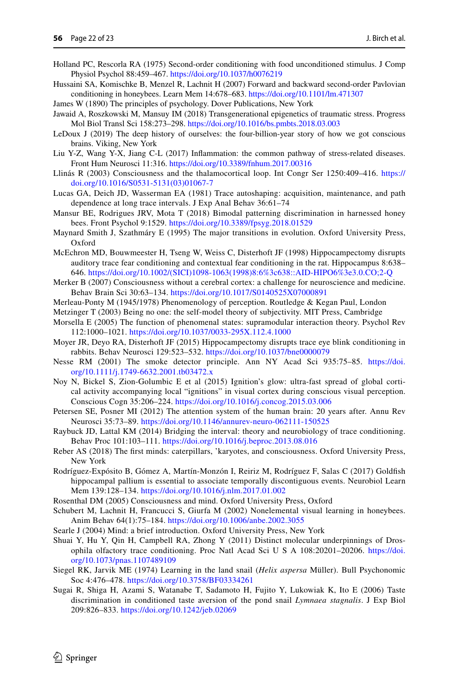- <span id="page-21-10"></span>Holland PC, Rescorla RA (1975) Second-order conditioning with food unconditioned stimulus. J Comp Physiol Psychol 88:459–467.<https://doi.org/10.1037/h0076219>
- <span id="page-21-12"></span>Hussaini SA, Komischke B, Menzel R, Lachnit H (2007) Forward and backward second-order Pavlovian conditioning in honeybees. Learn Mem 14:678–683.<https://doi.org/10.1101/lm.471307>

<span id="page-21-7"></span>James W (1890) The principles of psychology. Dover Publications, New York

- <span id="page-21-24"></span>Jawaid A, Roszkowski M, Mansuy IM (2018) Transgenerational epigenetics of traumatic stress. Progress Mol Biol Transl Sci 158:273–298. <https://doi.org/10.1016/bs.pmbts.2018.03.003>
- <span id="page-21-26"></span>LeDoux J (2019) The deep history of ourselves: the four-billion-year story of how we got conscious brains. Viking, New York
- <span id="page-21-17"></span>Liu Y-Z, Wang Y-X, Jiang C-L (2017) Infammation: the common pathway of stress-related diseases. Front Hum Neurosci 11:316.<https://doi.org/10.3389/fnhum.2017.00316>
- <span id="page-21-20"></span>Llinás R (2003) Consciousness and the thalamocortical loop. Int Congr Ser 1250:409–416. [https://](https://doi.org/10.1016/S0531-5131(03)01067-7) [doi.org/10.1016/S0531-5131\(03\)01067-7](https://doi.org/10.1016/S0531-5131(03)01067-7)
- <span id="page-21-6"></span>Lucas GA, Deich JD, Wasserman EA (1981) Trace autoshaping: acquisition, maintenance, and path dependence at long trace intervals. J Exp Anal Behav 36:61–74
- <span id="page-21-2"></span>Mansur BE, Rodrigues JRV, Mota T (2018) Bimodal patterning discrimination in harnessed honey bees. Front Psychol 9:1529. <https://doi.org/10.3389/fpsyg.2018.01529>
- <span id="page-21-0"></span>Maynard Smith J, Szathmáry E (1995) The major transitions in evolution. Oxford University Press, Oxford
- <span id="page-21-19"></span>McEchron MD, Bouwmeester H, Tseng W, Weiss C, Disterhoft JF (1998) Hippocampectomy disrupts auditory trace fear conditioning and contextual fear conditioning in the rat. Hippocampus 8:638– 646. [https://doi.org/10.1002/\(SICI\)1098-1063\(1998\)8:6%3c638::AID-HIPO6%3e3.0.CO;2-Q](https://doi.org/10.1002/(SICI)1098-1063(1998)8:6%3c638::AID-HIPO6%3e3.0.CO;2-Q)
- <span id="page-21-9"></span>Merker B (2007) Consciousness without a cerebral cortex: a challenge for neuroscience and medicine. Behav Brain Sci 30:63–134.<https://doi.org/10.1017/S0140525X07000891>
- <span id="page-21-8"></span>Merleau-Ponty M (1945/1978) Phenomenology of perception. Routledge & Kegan Paul, London
- <span id="page-21-4"></span>Metzinger T (2003) Being no one: the self-model theory of subjectivity. MIT Press, Cambridge
- <span id="page-21-3"></span>Morsella E (2005) The function of phenomenal states: supramodular interaction theory. Psychol Rev 112:1000–1021. <https://doi.org/10.1037/0033-295X.112.4.1000>
- <span id="page-21-14"></span>Moyer JR, Deyo RA, Disterhoft JF (2015) Hippocampectomy disrupts trace eye blink conditioning in rabbits. Behav Neurosci 129:523–532. <https://doi.org/10.1037/bne0000079>
- <span id="page-21-16"></span>Nesse RM (2001) The smoke detector principle. Ann NY Acad Sci 935:75–85. [https://doi.](https://doi.org/10.1111/j.1749-6632.2001.tb03472.x) [org/10.1111/j.1749-6632.2001.tb03472.x](https://doi.org/10.1111/j.1749-6632.2001.tb03472.x)
- <span id="page-21-21"></span>Noy N, Bickel S, Zion-Golumbic E et al (2015) Ignition's glow: ultra-fast spread of global cortical activity accompanying local "ignitions" in visual cortex during conscious visual perception. Conscious Cogn 35:206–224. <https://doi.org/10.1016/j.concog.2015.03.006>
- <span id="page-21-5"></span>Petersen SE, Posner MI (2012) The attention system of the human brain: 20 years after. Annu Rev Neurosci 35:73–89.<https://doi.org/10.1146/annurev-neuro-062111-150525>
- <span id="page-21-18"></span>Raybuck JD, Lattal KM (2014) Bridging the interval: theory and neurobiology of trace conditioning. Behav Proc 101:103–111. <https://doi.org/10.1016/j.beproc.2013.08.016>
- <span id="page-21-27"></span>Reber AS (2018) The frst minds: caterpillars, 'karyotes, and consciousness. Oxford University Press, New York
- <span id="page-21-15"></span>Rodríguez-Expósito B, Gómez A, Martín-Monzón I, Reiriz M, Rodríguez F, Salas C (2017) Goldfsh hippocampal pallium is essential to associate temporally discontiguous events. Neurobiol Learn Mem 139:128–134. <https://doi.org/10.1016/j.nlm.2017.01.002>
- <span id="page-21-25"></span>Rosenthal DM (2005) Consciousness and mind. Oxford University Press, Oxford
- <span id="page-21-11"></span>Schubert M, Lachnit H, Francucci S, Giurfa M (2002) Nonelemental visual learning in honeybees. Anim Behav 64(1):75–184. <https://doi.org/10.1006/anbe.2002.3055>
- <span id="page-21-1"></span>Searle J (2004) Mind: a brief introduction. Oxford University Press, New York
- <span id="page-21-13"></span>Shuai Y, Hu Y, Qin H, Campbell RA, Zhong Y (2011) Distinct molecular underpinnings of Drosophila olfactory trace conditioning. Proc Natl Acad Sci U S A 108:20201–20206. [https://doi.](https://doi.org/10.1073/pnas.1107489109) [org/10.1073/pnas.1107489109](https://doi.org/10.1073/pnas.1107489109)
- <span id="page-21-22"></span>Siegel RK, Jarvik ME (1974) Learning in the land snail (*Helix aspersa* Müller). Bull Psychonomic Soc 4:476–478. <https://doi.org/10.3758/BF03334261>
- <span id="page-21-23"></span>Sugai R, Shiga H, Azami S, Watanabe T, Sadamoto H, Fujito Y, Lukowiak K, Ito E (2006) Taste discrimination in conditioned taste aversion of the pond snail *Lymnaea stagnalis*. J Exp Biol 209:826–833. <https://doi.org/10.1242/jeb.02069>